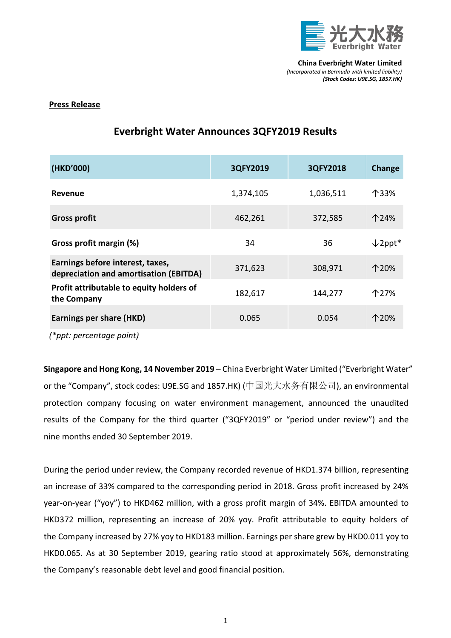

## **Press Release**

| (HKD'000)                                                                  | 3QFY2019  | 3QFY2018  | Change             |
|----------------------------------------------------------------------------|-----------|-----------|--------------------|
| Revenue                                                                    | 1,374,105 | 1,036,511 | 个33%               |
| <b>Gross profit</b>                                                        | 462,261   | 372,585   | 个24%               |
| Gross profit margin (%)                                                    | 34        | 36        | $\downarrow$ 2ppt* |
| Earnings before interest, taxes,<br>depreciation and amortisation (EBITDA) | 371,623   | 308,971   | 个20%               |
| Profit attributable to equity holders of<br>the Company                    | 182,617   | 144,277   | 个27%               |
| Earnings per share (HKD)                                                   | 0.065     | 0.054     | 个20%               |

# **Everbright Water Announces 3QFY2019 Results**

*(\*ppt: percentage point)*

**Singapore and Hong Kong, 14 November 2019** – China Everbright Water Limited ("Everbright Water" or the "Company", stock codes: U9E.SG and 1857.HK) (中国光大水务有限公司), an environmental protection company focusing on water environment management, announced the unaudited results of the Company for the third quarter ("3QFY2019" or "period under review") and the nine months ended 30 September 2019.

During the period under review, the Company recorded revenue of HKD1.374 billion, representing an increase of 33% compared to the corresponding period in 2018. Gross profit increased by 24% year-on-year ("yoy") to HKD462 million, with a gross profit margin of 34%. EBITDA amounted to HKD372 million, representing an increase of 20% yoy. Profit attributable to equity holders of the Company increased by 27% yoy to HKD183 million. Earnings per share grew by HKD0.011 yoy to HKD0.065. As at 30 September 2019, gearing ratio stood at approximately 56%, demonstrating the Company's reasonable debt level and good financial position.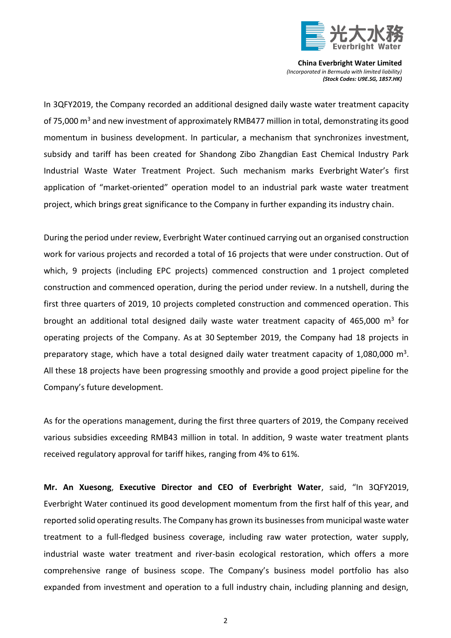

In 3QFY2019, the Company recorded an additional designed daily waste water treatment capacity of 75,000  $\text{m}^3$  and new investment of approximately RMB477 million in total, demonstrating its good momentum in business development. In particular, a mechanism that synchronizes investment, subsidy and tariff has been created for Shandong Zibo Zhangdian East Chemical Industry Park Industrial Waste Water Treatment Project. Such mechanism marks Everbright Water's first application of "market-oriented" operation model to an industrial park waste water treatment project, which brings great significance to the Company in further expanding its industry chain.

During the period under review, Everbright Water continued carrying out an organised construction work for various projects and recorded a total of 16 projects that were under construction. Out of which, 9 projects (including EPC projects) commenced construction and 1 project completed construction and commenced operation, during the period under review. In a nutshell, during the first three quarters of 2019, 10 projects completed construction and commenced operation. This brought an additional total designed daily waste water treatment capacity of 465,000 m<sup>3</sup> for operating projects of the Company. As at 30 September 2019, the Company had 18 projects in preparatory stage, which have a total designed daily water treatment capacity of 1,080,000  $\text{m}^3$ . All these 18 projects have been progressing smoothly and provide a good project pipeline for the Company's future development.

As for the operations management, during the first three quarters of 2019, the Company received various subsidies exceeding RMB43 million in total. In addition, 9 waste water treatment plants received regulatory approval for tariff hikes, ranging from 4% to 61%.

**Mr. An Xuesong**, **Executive Director and CEO of Everbright Water**, said, "In 3QFY2019, Everbright Water continued its good development momentum from the first half of this year, and reported solid operating results. The Company has grown its businesses from municipal waste water treatment to a full-fledged business coverage, including raw water protection, water supply, industrial waste water treatment and river-basin ecological restoration, which offers a more comprehensive range of business scope. The Company's business model portfolio has also expanded from investment and operation to a full industry chain, including planning and design,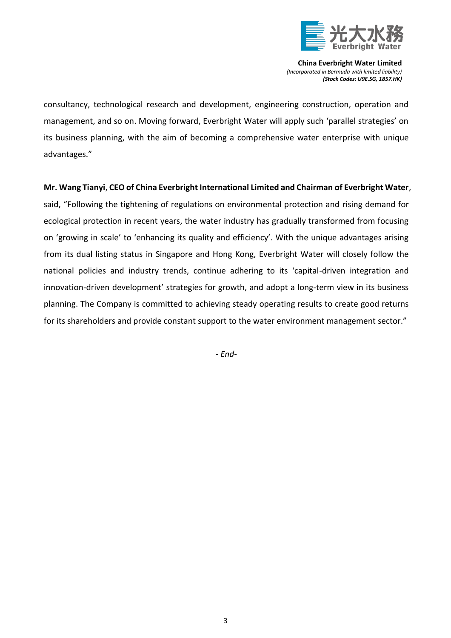

consultancy, technological research and development, engineering construction, operation and management, and so on. Moving forward, Everbright Water will apply such 'parallel strategies' on its business planning, with the aim of becoming a comprehensive water enterprise with unique advantages."

## **Mr. Wang Tianyi**, **CEO of China Everbright International Limited and Chairman of Everbright Water**,

said, "Following the tightening of regulations on environmental protection and rising demand for ecological protection in recent years, the water industry has gradually transformed from focusing on 'growing in scale' to 'enhancing its quality and efficiency'. With the unique advantages arising from its dual listing status in Singapore and Hong Kong, Everbright Water will closely follow the national policies and industry trends, continue adhering to its 'capital-driven integration and innovation-driven development' strategies for growth, and adopt a long-term view in its business planning. The Company is committed to achieving steady operating results to create good returns for its shareholders and provide constant support to the water environment management sector."

*- End-*